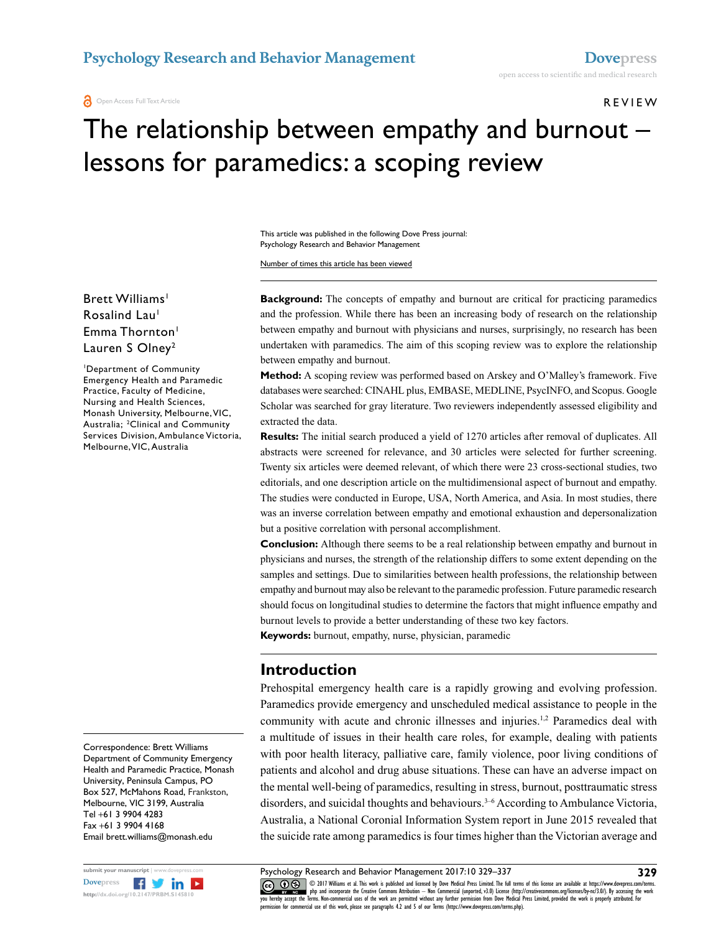#### REVIEW

# The relationship between empathy and burnout – lessons for paramedics: a scoping review

This article was published in the following Dove Press journal: Psychology Research and Behavior Management

Number of times this article has been viewed

#### Brett Williams<sup>1</sup> Rosalind Lau<sup>1</sup> Emma Thornton<sup>1</sup> Lauren S Olney<sup>2</sup>

1 Department of Community Emergency Health and Paramedic Practice, Faculty of Medicine, Nursing and Health Sciences, Monash University, Melbourne, VIC, Australia; 2Clinical and Community Services Division, Ambulance Victoria, Melbourne, VIC, Australia

Correspondence: Brett Williams Department of Community Emergency Health and Paramedic Practice, Monash University, Peninsula Campus, PO Box 527, McMahons Road, Frankston, Melbourne, VIC 3199, Australia Tel +61 3 9904 4283 Fax +61 3 9904 4168 Email brett.williams@monash.edu



**Background:** The concepts of empathy and burnout are critical for practicing paramedics and the profession. While there has been an increasing body of research on the relationship between empathy and burnout with physicians and nurses, surprisingly, no research has been undertaken with paramedics. The aim of this scoping review was to explore the relationship between empathy and burnout.

**Method:** A scoping review was performed based on Arskey and O'Malley's framework. Five databases were searched: CINAHL plus, EMBASE, MEDLINE, PsycINFO, and Scopus. Google Scholar was searched for gray literature. Two reviewers independently assessed eligibility and extracted the data.

**Results:** The initial search produced a yield of 1270 articles after removal of duplicates. All abstracts were screened for relevance, and 30 articles were selected for further screening. Twenty six articles were deemed relevant, of which there were 23 cross-sectional studies, two editorials, and one description article on the multidimensional aspect of burnout and empathy. The studies were conducted in Europe, USA, North America, and Asia. In most studies, there was an inverse correlation between empathy and emotional exhaustion and depersonalization but a positive correlation with personal accomplishment.

**Conclusion:** Although there seems to be a real relationship between empathy and burnout in physicians and nurses, the strength of the relationship differs to some extent depending on the samples and settings. Due to similarities between health professions, the relationship between empathy and burnout may also be relevant to the paramedic profession. Future paramedic research should focus on longitudinal studies to determine the factors that might influence empathy and burnout levels to provide a better understanding of these two key factors.

**Keywords:** burnout, empathy, nurse, physician, paramedic

## **Introduction**

Prehospital emergency health care is a rapidly growing and evolving profession. Paramedics provide emergency and unscheduled medical assistance to people in the community with acute and chronic illnesses and injuries.1,2 Paramedics deal with a multitude of issues in their health care roles, for example, dealing with patients with poor health literacy, palliative care, family violence, poor living conditions of patients and alcohol and drug abuse situations. These can have an adverse impact on the mental well-being of paramedics, resulting in stress, burnout, posttraumatic stress disorders, and suicidal thoughts and behaviours.<sup>3-6</sup> According to Ambulance Victoria, Australia, a National Coronial Information System report in June 2015 revealed that the suicide rate among paramedics is four times higher than the Victorian average and

Psychology Research and Behavior Management 2017:10 329–337

COM DIT Williams et al. This work is published and licensed by Dove Medical Press Limited. The full terms of this license are available at https://www.dovepress.com/terms.<br>Vou hereby accept the Terms. Non-commercial uses o permission for commercial use of this work, please see paragraphs 4.2 and 5 of our Terms (https://www.dovepress.com/terms.php).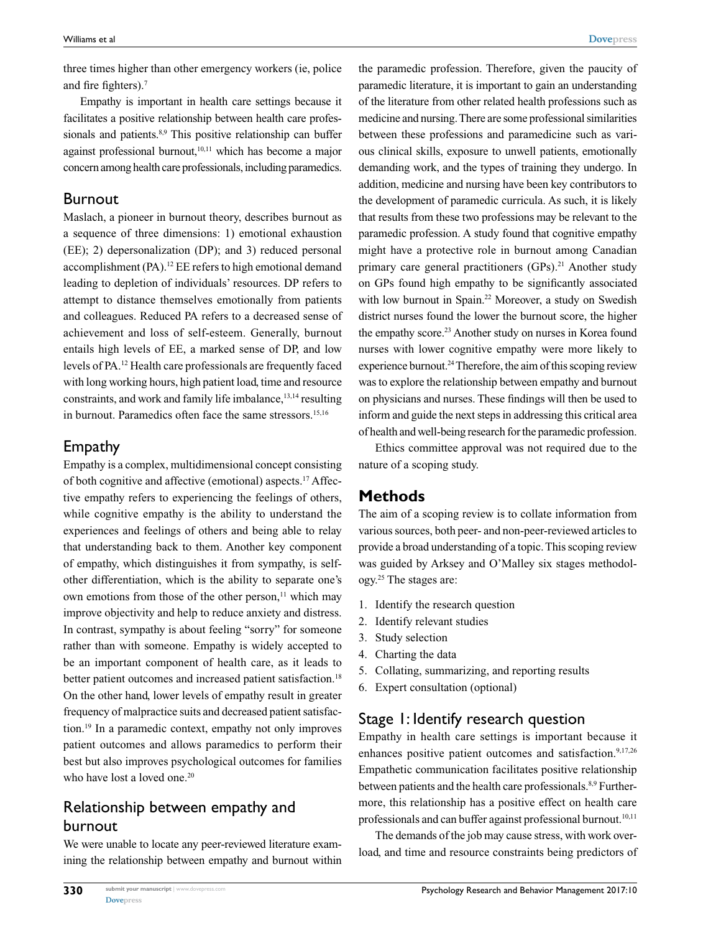three times higher than other emergency workers (ie, police and fire fighters).7

Empathy is important in health care settings because it facilitates a positive relationship between health care professionals and patients.<sup>8,9</sup> This positive relationship can buffer against professional burnout,<sup>10,11</sup> which has become a major concern among health care professionals, including paramedics.

#### Burnout

Maslach, a pioneer in burnout theory, describes burnout as a sequence of three dimensions: 1) emotional exhaustion (EE); 2) depersonalization (DP); and 3) reduced personal accomplishment (PA).12 EE refers to high emotional demand leading to depletion of individuals' resources. DP refers to attempt to distance themselves emotionally from patients and colleagues. Reduced PA refers to a decreased sense of achievement and loss of self-esteem. Generally, burnout entails high levels of EE, a marked sense of DP, and low levels of PA.12 Health care professionals are frequently faced with long working hours, high patient load, time and resource constraints, and work and family life imbalance, <sup>13,14</sup> resulting in burnout. Paramedics often face the same stressors.<sup>15,16</sup>

## Empathy

Empathy is a complex, multidimensional concept consisting of both cognitive and affective (emotional) aspects.17 Affective empathy refers to experiencing the feelings of others, while cognitive empathy is the ability to understand the experiences and feelings of others and being able to relay that understanding back to them. Another key component of empathy, which distinguishes it from sympathy, is selfother differentiation, which is the ability to separate one's own emotions from those of the other person,<sup>11</sup> which may improve objectivity and help to reduce anxiety and distress. In contrast, sympathy is about feeling "sorry" for someone rather than with someone. Empathy is widely accepted to be an important component of health care, as it leads to better patient outcomes and increased patient satisfaction.<sup>18</sup> On the other hand, lower levels of empathy result in greater frequency of malpractice suits and decreased patient satisfaction.19 In a paramedic context, empathy not only improves patient outcomes and allows paramedics to perform their best but also improves psychological outcomes for families who have lost a loved one.<sup>20</sup>

# Relationship between empathy and burnout

We were unable to locate any peer-reviewed literature examining the relationship between empathy and burnout within the paramedic profession. Therefore, given the paucity of paramedic literature, it is important to gain an understanding of the literature from other related health professions such as medicine and nursing. There are some professional similarities between these professions and paramedicine such as various clinical skills, exposure to unwell patients, emotionally demanding work, and the types of training they undergo. In addition, medicine and nursing have been key contributors to the development of paramedic curricula. As such, it is likely that results from these two professions may be relevant to the paramedic profession. A study found that cognitive empathy might have a protective role in burnout among Canadian primary care general practitioners (GPs).<sup>21</sup> Another study on GPs found high empathy to be significantly associated with low burnout in Spain.<sup>22</sup> Moreover, a study on Swedish district nurses found the lower the burnout score, the higher the empathy score.<sup>23</sup> Another study on nurses in Korea found nurses with lower cognitive empathy were more likely to experience burnout.<sup>24</sup> Therefore, the aim of this scoping review was to explore the relationship between empathy and burnout on physicians and nurses. These findings will then be used to inform and guide the next steps in addressing this critical area of health and well-being research for the paramedic profession.

Ethics committee approval was not required due to the nature of a scoping study.

## **Methods**

The aim of a scoping review is to collate information from various sources, both peer- and non-peer-reviewed articles to provide a broad understanding of a topic. This scoping review was guided by Arksey and O'Malley six stages methodology.25 The stages are:

- 1. Identify the research question
- 2. Identify relevant studies
- 3. Study selection
- 4. Charting the data
- 5. Collating, summarizing, and reporting results
- 6. Expert consultation (optional)

## Stage 1: Identify research question

Empathy in health care settings is important because it enhances positive patient outcomes and satisfaction.<sup>9,17,26</sup> Empathetic communication facilitates positive relationship between patients and the health care professionals.<sup>8,9</sup> Furthermore, this relationship has a positive effect on health care professionals and can buffer against professional burnout.<sup>10,11</sup>

The demands of the job may cause stress, with work overload, and time and resource constraints being predictors of

**330**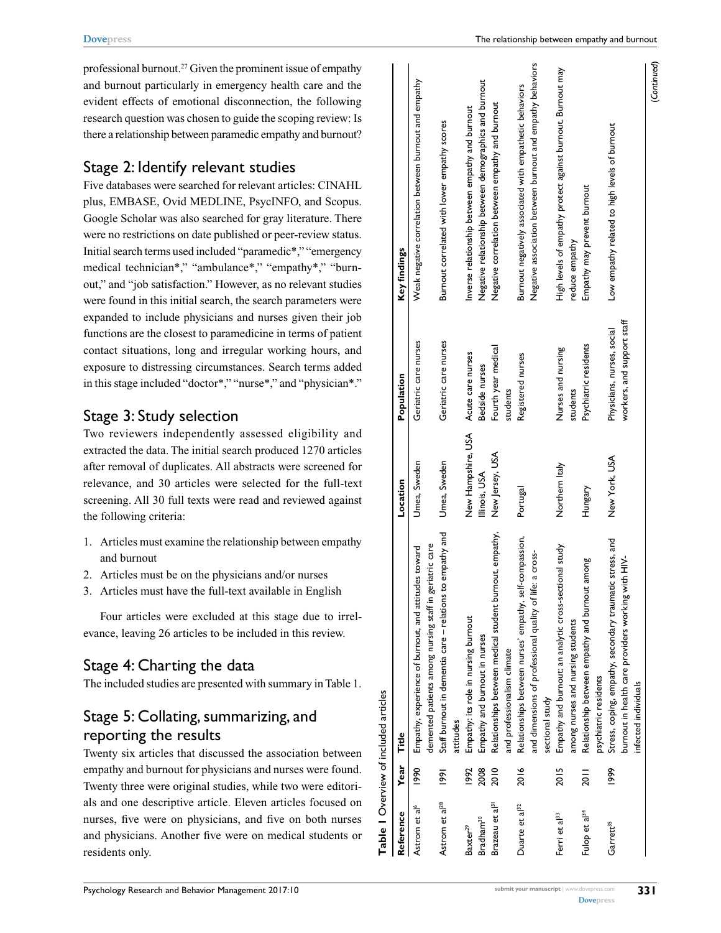professional burnout.27 Given the prominent issue of empathy and burnout particularly in emergency health care and the evident effects of emotional disconnection, the following research question was chosen to guide the scoping review: Is there a relationship between paramedic empathy and burnout?

#### Stage 2: Identify relevant studies

Five databases were searched for relevant articles: CINAHL plus, EMBASE, Ovid MEDLINE, PsycINFO, and Scopus. Google Scholar was also searched for gray literature. There were no restrictions on date published or peer-review status. Initial search terms used included "paramedic\*," "emergency medical technician\*," "ambulance\*," "empathy\*," "burnout," and "job satisfaction." However, as no relevant studies were found in this initial search, the search parameters were expanded to include physicians and nurses given their job functions are the closest to paramedicine in terms of patient contact situations, long and irregular working hours, and exposure to distressing circumstances. Search terms added in this stage included "doctor\*," "nurse\*," and "physician\*."

## Stage 3: Study selection

Two reviewers independently assessed eligibility and extracted the data. The initial search produced 1270 articles after removal of duplicates. All abstracts were screened for relevance, and 30 articles were selected for the full-text screening. All 30 full texts were read and reviewed against the following criteria:

- 1. Articles must examine the relationship between empathy and burnout
- 2. Articles must be on the physicians and/or nurses
- 3. Articles must have the full-text available in English

Four articles were excluded at this stage due to irrelevance, leaving 26 articles to be included in this review.

# Stage 4: Charting the data

The included studies are presented with summary in Table 1.

# Stage 5: Collating, summarizing, and reporting the results

Twenty six articles that discussed the association between empathy and burnout for physicians and nurses were found. Twenty three were original studies, while two were editorials and one descriptive article. Eleven articles focused on nurses, five were on physicians, and five on both nurses and physicians. Another five were on medical students or residents only.

|                             |                  | Table I Overview of included articles                                                                                                     |                    |                                                          |                                                                                                                       |
|-----------------------------|------------------|-------------------------------------------------------------------------------------------------------------------------------------------|--------------------|----------------------------------------------------------|-----------------------------------------------------------------------------------------------------------------------|
| Reference                   | Year             | Title                                                                                                                                     | Location           | Population                                               | Key findings                                                                                                          |
| Astrom et al <sup>6</sup>   | 1990             | demented patients among nursing staff in geriatric care<br>Empathy, experience of burnout, and attitudes toward                           | Umea, Sweden       | Geriatric care nurses                                    | Weak negative correlation between burnout and empathy                                                                 |
| Astrom et al <sup>28</sup>  | $\overline{186}$ | empathy and<br>Staff burnout in dementia care - relations to<br>attitudes                                                                 | Umea, Sweden       | Geriatric care nurses                                    | Burnout correlated with lower empathy scores                                                                          |
| Baxter <sup>29</sup>        | 1992             | Empathy: its role in nursing burnout                                                                                                      | New Hampshire, USA | Acute care nurses                                        | Inverse relationship between empathy and burnout                                                                      |
| Bradham <sup>30</sup>       | 2008             | Empathy and burnout in nurses                                                                                                             | Illinois, USA      | Bedside nurses                                           | Negative relationship between demographics and burnout                                                                |
| Brazeau et al <sup>31</sup> | 2010             | Relationships between medical student burnout, empathy,<br>and professionalism climate                                                    | New Jersey, USA    | Fourth year medical<br>students                          | Negative correlation between empathy and burnout                                                                      |
| Duarte et al <sup>32</sup>  | 2016             | Relationships between nurses' empathy, self-compassion,<br>a cross-<br>and dimensions of professional quality of life:<br>sectional study | Portugal           | Registered nurses                                        | Negative association between burnout and empathy behaviors<br>Burnout negatively associated with empathetic behaviors |
| Ferri et al <sup>33</sup>   | 2015             | Empathy and burnout: an analytic cross-sectional study<br>among nurses and nursing students                                               | Northern Italy     | Nurses and nursing<br>students                           | High levels of empathy protect against burnout. Burnout may<br>reduce empathy                                         |
| Fulop et al <sup>34</sup>   | <b>2011</b>      | Relationship between empathy and burnout among<br>psychiatric residents                                                                   | Hungary            | Psychiatric residents                                    | Empathy may prevent burnout                                                                                           |
| Garrett <sup>35</sup>       | 1999             | stress, and<br>burnout in health care providers working with HIV-<br>Stress, coping, empathy, secondary traumatic<br>infected individuals | New York, USA      | workers, and support staff<br>Physicians, nurses, social | Low empathy related to high levels of burnout                                                                         |
|                             |                  |                                                                                                                                           |                    |                                                          | (Continued)                                                                                                           |

**[Dovepress](www.dovepress.com)**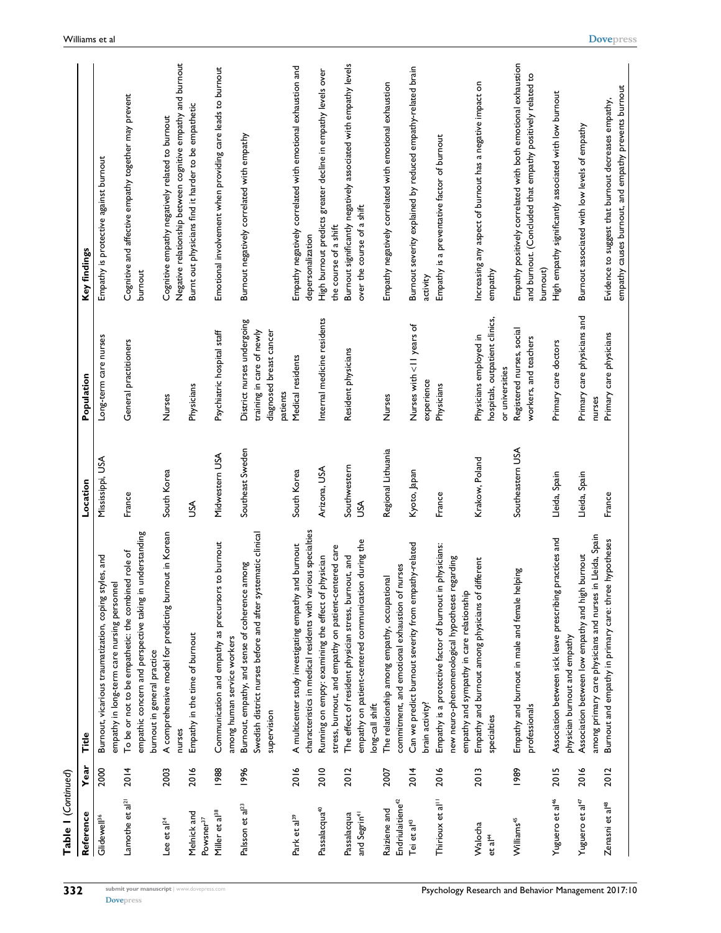| Table I (Continued)                          |      |                                                                                                                                                                   |                     |                                                                                                |                                                                                                                                        |
|----------------------------------------------|------|-------------------------------------------------------------------------------------------------------------------------------------------------------------------|---------------------|------------------------------------------------------------------------------------------------|----------------------------------------------------------------------------------------------------------------------------------------|
| Reference                                    | Year | Title                                                                                                                                                             | Location            | Population                                                                                     | Key findings                                                                                                                           |
| Glidewell <sup>36</sup>                      | 2000 | Burnout, vicarious traumatization, coping styles, and                                                                                                             | Mississippi, USA    | Long-term care nurses                                                                          | Empathy is protective against burnout                                                                                                  |
| Lamothe et al <sup>21</sup>                  | 2014 | understanding<br>To be or not to be empathetic: the combined role of<br>empathy in long-term care nursing personnel<br>empathic concern and perspective taking in | France              | General practitioners                                                                          | Cognitive and affective empathy together may prevent<br>burnout                                                                        |
| Lee et $a^{24}$                              | 2003 | A comprehensive model for predicting burnout in Korean<br>burnout in general practice<br>nurses                                                                   | South Korea         | Nurses                                                                                         | Negative relationship between cognitive empathy and burnout<br>Cognitive empathy negatively related to burnout                         |
| Melnick and<br>Powsner <sup>37</sup>         | 2016 | Empathy in the time of burnout                                                                                                                                    | ŠΣ                  | Physicians                                                                                     | Burnt out physicians find it harder to be empathetic                                                                                   |
| Miller et al <sup>38</sup>                   | 1988 | to burnout<br>Communication and empathy as precursors<br>among human service workers                                                                              | Midwestern USA      | Psychiatric hospital staff                                                                     | Emotional involvement when providing care leads to burnout                                                                             |
| Palsson et al <sup>23</sup>                  | 1996 | Swedish district nurses before and after systematic clinical<br>guoute<br>Burnout, empathy, and sense of coherence<br>supervision                                 | Southeast Sweden    | District nurses undergoing<br>diagnosed breast cancer<br>training in care of newly<br>patients | Burnout negatively correlated with empathy                                                                                             |
| Park et al <sup>39</sup>                     | 2016 | characteristics in medical residents with various specialties<br>A multicenter study investigating empathy and burnout                                            | South Korea         | Medical residents                                                                              | Empathy negatively correlated with emotional exhaustion and<br>depersonalization                                                       |
| Passalacqua <sup>40</sup>                    | 2010 | stress, burnout, and empathy on patient-centered care<br>physician<br>Running on empty: examining the effect of                                                   | Arizona, USA        | Internal medicine residents                                                                    | High burnout predicts greater decline in empathy levels over<br>the course of a shift                                                  |
| and Segrin <sup>41</sup><br>Passalacqua      | 2012 | empathy on patient-centered communication during the<br>The effect of resident physician stress, burnout, and<br>long-call shift                                  | Southwestern<br>SSU | Resident physicians                                                                            | Burnout significantly negatively associated with empathy levels<br>over the course of a shift                                          |
| Endriulaitiene <sup>42</sup><br>Raiziene and | 2007 | nurses<br>The relationship among empathy, occupational<br>commitment, and emotional exhaustion of                                                                 | Regional Lithuania  | Nurses                                                                                         | Empathy negatively correlated with emotional exhaustion                                                                                |
| Tei et al <sup>43</sup>                      | 2014 | Can we predict burnout severity from empathy-related<br>brain activity?                                                                                           | Kyoto, Japan        | Nurses with <11 years of<br>experience                                                         | Burnout severity explained by reduced empathy-related brain<br>activity                                                                |
| Thirioux et al <sup>11</sup>                 | 2016 | Empathy is a protective factor of burnout in physicians:<br>gupusa.<br>new neuro-phenomenological hypotheses r<br>empathy and sympathy in care relationship       | France              | Physicians                                                                                     | Empathy is a preventative factor of burnout                                                                                            |
| Walocha<br>et al <sup>44</sup>               | 2013 | Empathy and burnout among physicians of different<br>specialties                                                                                                  | Krakow, Poland      | hospitals, outpatient clinics,<br>Physicians employed in<br>or universities                    | Increasing any aspect of burnout has a negative impact on<br>empathy                                                                   |
| Williams <sup>45</sup>                       | 1989 | Empathy and burnout in male and female helping<br>professionals                                                                                                   | Southeastern USA    | Registered nurses, social<br>workers, and teachers                                             | Empathy positively correlated with both emotional exhaustion<br>and burnout. (Concluded that empathy positively related to<br>burnout) |
| Yuguero et al <sup>46</sup>                  | 2015 | practices and<br>Association between sick leave prescribing<br>physician burnout and empathy                                                                      | Lleida, Spain       | Primary care doctors                                                                           | High empathy significantly associated with low burnout                                                                                 |
| Yuguero et al <sup>47</sup>                  | 2016 | among primary care physicians and nurses in Lleida, Spain<br>Association between low empathy and high burnout                                                     | Lleida, Spain       | Primary care physicians and<br>nurses                                                          | Burnout associated with low levels of empathy                                                                                          |
| Zenasni et al <sup>48</sup>                  | 2012 | Burnout and empathy in primary care: three hypotheses                                                                                                             | France              | Primary care physicians                                                                        | empathy causes burnout, and empathy prevents burnout<br>Evidence to suggest that burnout decreases empathy,                            |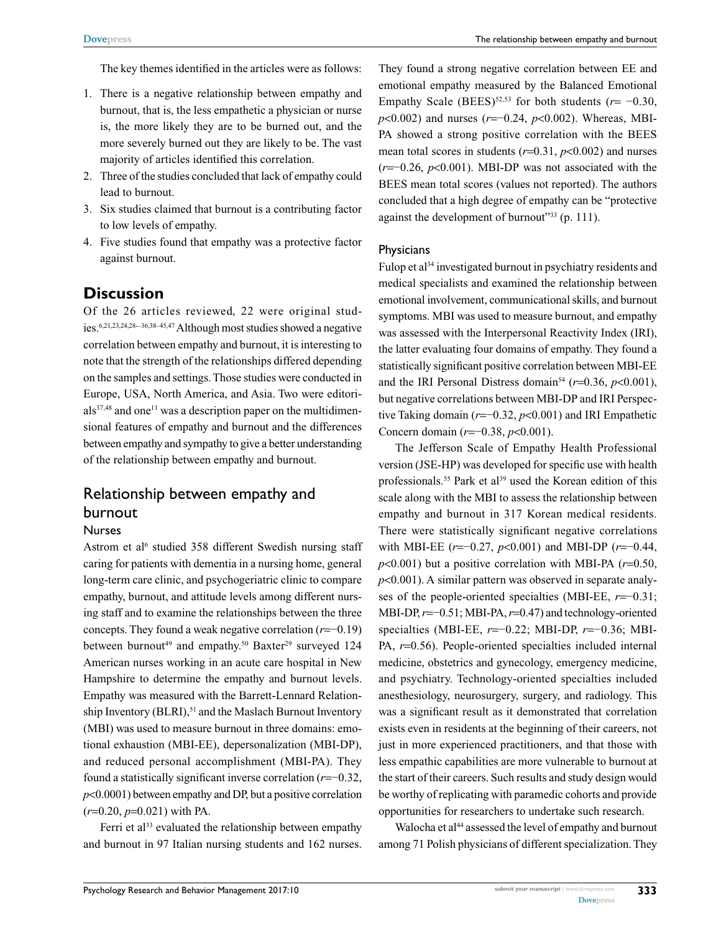The key themes identified in the articles were as follows:

- 1. There is a negative relationship between empathy and burnout, that is, the less empathetic a physician or nurse is, the more likely they are to be burned out, and the more severely burned out they are likely to be. The vast majority of articles identified this correlation.
- 2. Three of the studies concluded that lack of empathy could lead to burnout.
- 3. Six studies claimed that burnout is a contributing factor to low levels of empathy.
- 4. Five studies found that empathy was a protective factor against burnout.

#### **Discussion**

Of the 26 articles reviewed, 22 were original studies.6,21,23,24,28-–36,38–45,47 Although most studies showed a negative correlation between empathy and burnout, it is interesting to note that the strength of the relationships differed depending on the samples and settings. Those studies were conducted in Europe, USA, North America, and Asia. Two were editori $als<sup>37,48</sup>$  and one<sup>11</sup> was a description paper on the multidimensional features of empathy and burnout and the differences between empathy and sympathy to give a better understanding of the relationship between empathy and burnout.

## Relationship between empathy and burnout

#### Nurses

Astrom et al<sup>6</sup> studied 358 different Swedish nursing staff caring for patients with dementia in a nursing home, general long-term care clinic, and psychogeriatric clinic to compare empathy, burnout, and attitude levels among different nursing staff and to examine the relationships between the three concepts. They found a weak negative correlation (*r*=−0.19) between burnout<sup>49</sup> and empathy.<sup>50</sup> Baxter<sup>29</sup> surveyed 124 American nurses working in an acute care hospital in New Hampshire to determine the empathy and burnout levels. Empathy was measured with the Barrett-Lennard Relationship Inventory (BLRI),<sup>51</sup> and the Maslach Burnout Inventory (MBI) was used to measure burnout in three domains: emotional exhaustion (MBI-EE), depersonalization (MBI-DP), and reduced personal accomplishment (MBI-PA). They found a statistically significant inverse correlation (*r*=−0.32, *p*<0.0001) between empathy and DP, but a positive correlation (*r*=0.20, *p*=0.021) with PA.

Ferri et al $33$  evaluated the relationship between empathy and burnout in 97 Italian nursing students and 162 nurses. They found a strong negative correlation between EE and emotional empathy measured by the Balanced Emotional Empathy Scale (BEES)<sup>52,53</sup> for both students ( $r = -0.30$ , *p*<0.002) and nurses (*r*=−0.24, *p*<0.002). Whereas, MBI-PA showed a strong positive correlation with the BEES mean total scores in students (*r*=0.31, *p*<0.002) and nurses (*r*=−0.26, *p*<0.001). MBI-DP was not associated with the BEES mean total scores (values not reported). The authors concluded that a high degree of empathy can be "protective against the development of burnout"33 (p. 111).

#### **Physicians**

Fulop et al<sup>34</sup> investigated burnout in psychiatry residents and medical specialists and examined the relationship between emotional involvement, communicational skills, and burnout symptoms. MBI was used to measure burnout, and empathy was assessed with the Interpersonal Reactivity Index (IRI), the latter evaluating four domains of empathy. They found a statistically significant positive correlation between MBI-EE and the IRI Personal Distress domain<sup>54</sup> ( $r=0.36$ ,  $p<0.001$ ), but negative correlations between MBI-DP and IRI Perspective Taking domain (*r*=−0.32, *p*<0.001) and IRI Empathetic Concern domain (*r*=−0.38, *p*<0.001).

The Jefferson Scale of Empathy Health Professional version (JSE-HP) was developed for specific use with health professionals.<sup>55</sup> Park et al<sup>39</sup> used the Korean edition of this scale along with the MBI to assess the relationship between empathy and burnout in 317 Korean medical residents. There were statistically significant negative correlations with MBI-EE (*r*=−0.27, *p*<0.001) and MBI-DP (*r*=−0.44, *p*<0.001) but a positive correlation with MBI-PA (*r*=0.50, *p*<0.001). A similar pattern was observed in separate analyses of the people-oriented specialties (MBI-EE, *r*=−0.31; MBI-DP, *r*=−0.51; MBI-PA, *r*=0.47) and technology-oriented specialties (MBI-EE, *r*=−0.22; MBI-DP, *r*=−0.36; MBI-PA, *r*=0.56). People-oriented specialties included internal medicine, obstetrics and gynecology, emergency medicine, and psychiatry. Technology-oriented specialties included anesthesiology, neurosurgery, surgery, and radiology. This was a significant result as it demonstrated that correlation exists even in residents at the beginning of their careers, not just in more experienced practitioners, and that those with less empathic capabilities are more vulnerable to burnout at the start of their careers. Such results and study design would be worthy of replicating with paramedic cohorts and provide opportunities for researchers to undertake such research.

Walocha et al<sup>44</sup> assessed the level of empathy and burnout among 71 Polish physicians of different specialization. They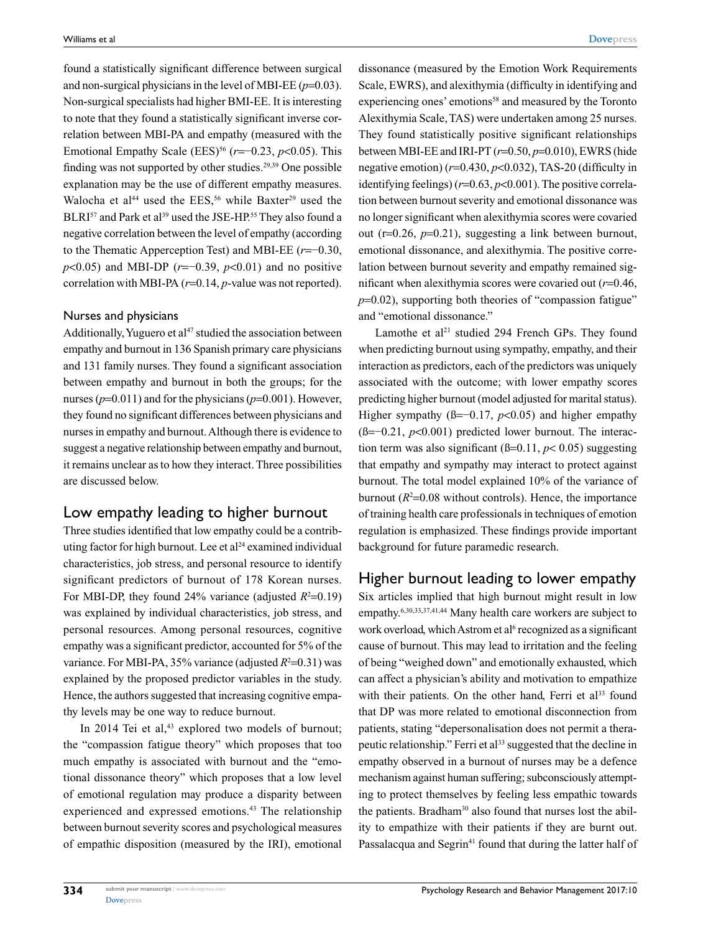found a statistically significant difference between surgical and non-surgical physicians in the level of MBI-EE  $(p=0.03)$ . Non-surgical specialists had higher BMI-EE. It is interesting to note that they found a statistically significant inverse correlation between MBI-PA and empathy (measured with the Emotional Empathy Scale (EES)<sup>56</sup> ( $r=-0.23$ ,  $p<0.05$ ). This finding was not supported by other studies.29,39 One possible explanation may be the use of different empathy measures. Walocha et al<sup>44</sup> used the EES,<sup>56</sup> while Baxter<sup>29</sup> used the BLRI<sup>57</sup> and Park et al<sup>39</sup> used the JSE-HP.<sup>55</sup> They also found a negative correlation between the level of empathy (according to the Thematic Apperception Test) and MBI-EE (*r*=−0.30, *p*<0.05) and MBI-DP (*r*=−0.39, *p*<0.01) and no positive correlation with MBI-PA (*r*=0.14, *p*-value was not reported).

#### Nurses and physicians

Additionally, Yuguero et  $al<sup>47</sup>$  studied the association between empathy and burnout in 136 Spanish primary care physicians and 131 family nurses. They found a significant association between empathy and burnout in both the groups; for the nurses (*p*=0.011) and for the physicians (*p*=0.001). However, they found no significant differences between physicians and nurses in empathy and burnout. Although there is evidence to suggest a negative relationship between empathy and burnout, it remains unclear as to how they interact. Three possibilities are discussed below.

#### Low empathy leading to higher burnout

Three studies identified that low empathy could be a contributing factor for high burnout. Lee et al<sup>24</sup> examined individual characteristics, job stress, and personal resource to identify significant predictors of burnout of 178 Korean nurses. For MBI-DP, they found 24% variance (adjusted  $R^2=0.19$ ) was explained by individual characteristics, job stress, and personal resources. Among personal resources, cognitive empathy was a significant predictor, accounted for 5% of the variance. For MBI-PA,  $35\%$  variance (adjusted  $R^2 = 0.31$ ) was explained by the proposed predictor variables in the study. Hence, the authors suggested that increasing cognitive empathy levels may be one way to reduce burnout.

In 2014 Tei et al,<sup>43</sup> explored two models of burnout; the "compassion fatigue theory" which proposes that too much empathy is associated with burnout and the "emotional dissonance theory" which proposes that a low level of emotional regulation may produce a disparity between experienced and expressed emotions.43 The relationship between burnout severity scores and psychological measures of empathic disposition (measured by the IRI), emotional

dissonance (measured by the Emotion Work Requirements Scale, EWRS), and alexithymia (difficulty in identifying and experiencing ones' emotions<sup>58</sup> and measured by the Toronto Alexithymia Scale, TAS) were undertaken among 25 nurses. They found statistically positive significant relationships between MBI-EE and IRI-PT (*r*=0.50, *p*=0.010), EWRS (hide negative emotion) (*r*=0.430, *p*<0.032), TAS-20 (difficulty in identifying feelings) (*r*=0.63, *p*<0.001). The positive correlation between burnout severity and emotional dissonance was no longer significant when alexithymia scores were covaried out (r=0.26, *p*=0.21), suggesting a link between burnout, emotional dissonance, and alexithymia. The positive correlation between burnout severity and empathy remained significant when alexithymia scores were covaried out (*r*=0.46,  $p=0.02$ ), supporting both theories of "compassion fatigue" and "emotional dissonance."

Lamothe et al<sup>21</sup> studied 294 French GPs. They found when predicting burnout using sympathy, empathy, and their interaction as predictors, each of the predictors was uniquely associated with the outcome; with lower empathy scores predicting higher burnout (model adjusted for marital status). Higher sympathy (ß=−0.17, *p*<0.05) and higher empathy (ß=−0.21, *p*<0.001) predicted lower burnout. The interaction term was also significant ( $\beta$ =0.11,  $p$  < 0.05) suggesting that empathy and sympathy may interact to protect against burnout. The total model explained 10% of the variance of burnout  $(R^2=0.08$  without controls). Hence, the importance of training health care professionals in techniques of emotion regulation is emphasized. These findings provide important background for future paramedic research.

#### Higher burnout leading to lower empathy

Six articles implied that high burnout might result in low empathy.6,30,33,37,41,44 Many health care workers are subject to work overload, which Astrom et al<sup>6</sup> recognized as a significant cause of burnout. This may lead to irritation and the feeling of being "weighed down" and emotionally exhausted, which can affect a physician's ability and motivation to empathize with their patients. On the other hand, Ferri et al<sup>33</sup> found that DP was more related to emotional disconnection from patients, stating "depersonalisation does not permit a therapeutic relationship." Ferri et al<sup>33</sup> suggested that the decline in empathy observed in a burnout of nurses may be a defence mechanism against human suffering; subconsciously attempting to protect themselves by feeling less empathic towards the patients. Bradham<sup>30</sup> also found that nurses lost the ability to empathize with their patients if they are burnt out. Passalacqua and Segrin<sup>41</sup> found that during the latter half of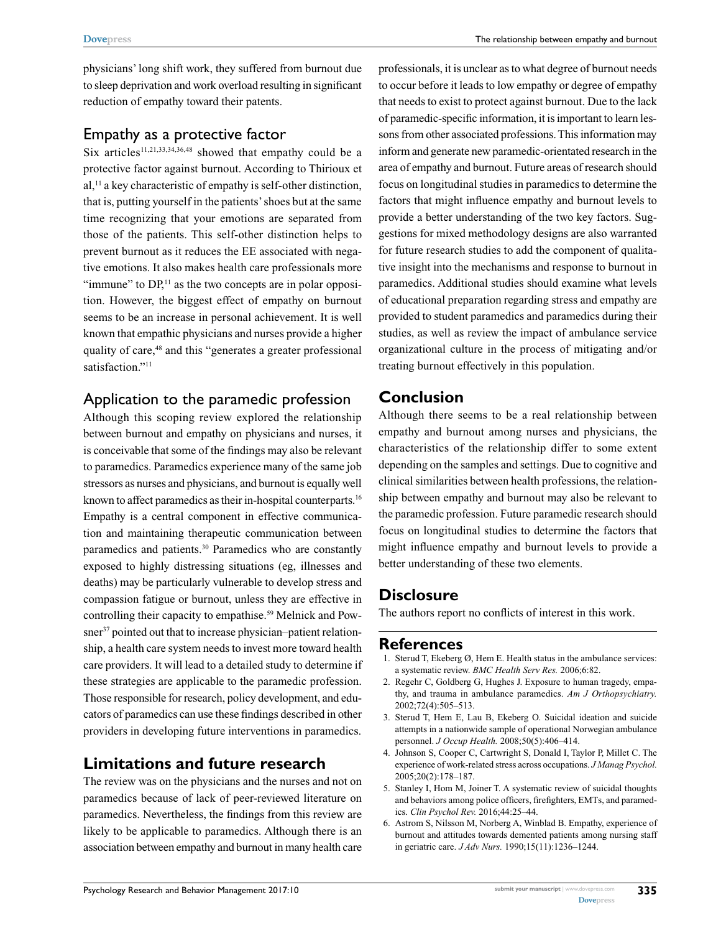physicians' long shift work, they suffered from burnout due to sleep deprivation and work overload resulting in significant reduction of empathy toward their patents.

## Empathy as a protective factor

Six articles<sup>11,21,33,34,36,48</sup> showed that empathy could be a protective factor against burnout. According to Thirioux et  $aI$ ,<sup>11</sup> a key characteristic of empathy is self-other distinction, that is, putting yourself in the patients' shoes but at the same time recognizing that your emotions are separated from those of the patients. This self-other distinction helps to prevent burnout as it reduces the EE associated with negative emotions. It also makes health care professionals more "immune" to  $DP<sub>11</sub>$  as the two concepts are in polar opposition. However, the biggest effect of empathy on burnout seems to be an increase in personal achievement. It is well known that empathic physicians and nurses provide a higher quality of care,<sup>48</sup> and this "generates a greater professional satisfaction."<sup>11</sup>

# Application to the paramedic profession

Although this scoping review explored the relationship between burnout and empathy on physicians and nurses, it is conceivable that some of the findings may also be relevant to paramedics. Paramedics experience many of the same job stressors as nurses and physicians, and burnout is equally well known to affect paramedics as their in-hospital counterparts.<sup>16</sup> Empathy is a central component in effective communication and maintaining therapeutic communication between paramedics and patients.30 Paramedics who are constantly exposed to highly distressing situations (eg, illnesses and deaths) may be particularly vulnerable to develop stress and compassion fatigue or burnout, unless they are effective in controlling their capacity to empathise.<sup>59</sup> Melnick and Powsner<sup>37</sup> pointed out that to increase physician–patient relationship, a health care system needs to invest more toward health care providers. It will lead to a detailed study to determine if these strategies are applicable to the paramedic profession. Those responsible for research, policy development, and educators of paramedics can use these findings described in other providers in developing future interventions in paramedics.

# **Limitations and future research**

The review was on the physicians and the nurses and not on paramedics because of lack of peer-reviewed literature on paramedics. Nevertheless, the findings from this review are likely to be applicable to paramedics. Although there is an association between empathy and burnout in many health care

professionals, it is unclear as to what degree of burnout needs to occur before it leads to low empathy or degree of empathy that needs to exist to protect against burnout. Due to the lack of paramedic-specific information, it is important to learn lessons from other associated professions. This information may inform and generate new paramedic-orientated research in the area of empathy and burnout. Future areas of research should focus on longitudinal studies in paramedics to determine the factors that might influence empathy and burnout levels to provide a better understanding of the two key factors. Suggestions for mixed methodology designs are also warranted for future research studies to add the component of qualitative insight into the mechanisms and response to burnout in paramedics. Additional studies should examine what levels of educational preparation regarding stress and empathy are provided to student paramedics and paramedics during their studies, as well as review the impact of ambulance service organizational culture in the process of mitigating and/or treating burnout effectively in this population.

# **Conclusion**

Although there seems to be a real relationship between empathy and burnout among nurses and physicians, the characteristics of the relationship differ to some extent depending on the samples and settings. Due to cognitive and clinical similarities between health professions, the relationship between empathy and burnout may also be relevant to the paramedic profession. Future paramedic research should focus on longitudinal studies to determine the factors that might influence empathy and burnout levels to provide a better understanding of these two elements.

# **Disclosure**

The authors report no conflicts of interest in this work.

#### **References**

- 1. Sterud T, Ekeberg Ø, Hem E. Health status in the ambulance services: a systematic review. *BMC Health Serv Res.* 2006;6:82.
- 2. Regehr C, Goldberg G, Hughes J. Exposure to human tragedy, empathy, and trauma in ambulance paramedics. *Am J Orthopsychiatry.*  2002;72(4):505–513.
- 3. Sterud T, Hem E, Lau B, Ekeberg O. Suicidal ideation and suicide attempts in a nationwide sample of operational Norwegian ambulance personnel. *J Occup Health.* 2008;50(5):406–414.
- 4. Johnson S, Cooper C, Cartwright S, Donald I, Taylor P, Millet C. The experience of work-related stress across occupations. *J Manag Psychol.*  2005;20(2):178–187.
- 5. Stanley I, Hom M, Joiner T. A systematic review of suicidal thoughts and behaviors among police officers, firefighters, EMTs, and paramedics. *Clin Psychol Rev.* 2016;44:25–44.
- 6. Astrom S, Nilsson M, Norberg A, Winblad B. Empathy, experience of burnout and attitudes towards demented patients among nursing staff in geriatric care. *J Adv Nurs.* 1990;15(11):1236–1244.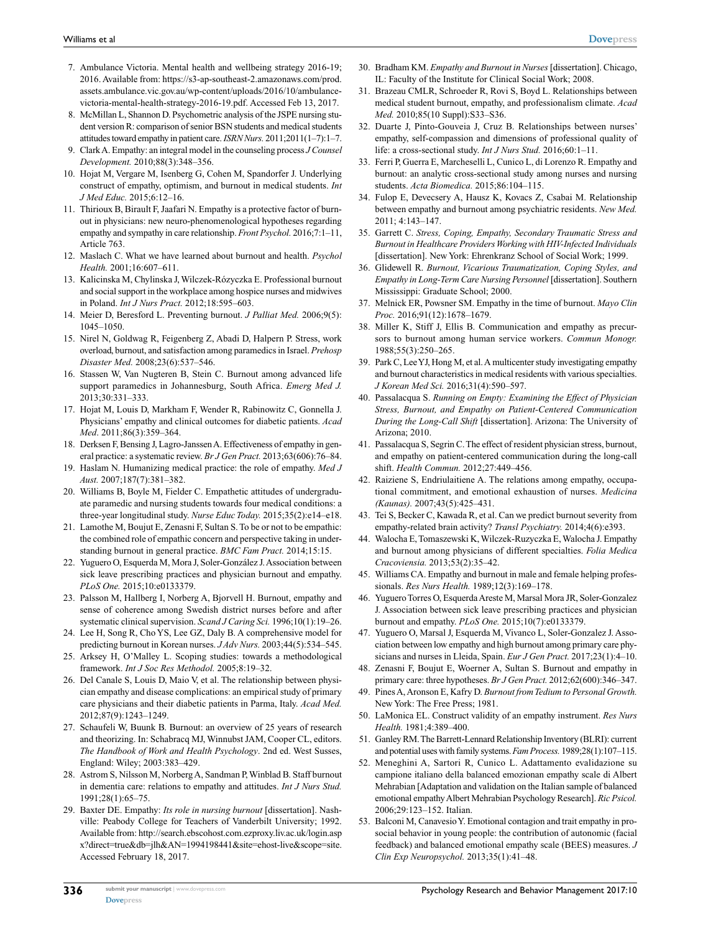- 7. Ambulance Victoria. Mental health and wellbeing strategy 2016-19; 2016. Available from: https://s3-ap-southeast-2.amazonaws.com/prod. assets.ambulance.vic.gov.au/wp-content/uploads/2016/10/ambulancevictoria-mental-health-strategy-2016-19.pdf. Accessed Feb 13, 2017.
- 8. McMillan L, Shannon D. Psychometric analysis of the JSPE nursing student version R: comparison of senior BSN students and medical students attitudes toward empathy in patient care. *ISRN Nurs.* 2011;2011(1–7):1–7.
- 9. Clark A. Empathy: an integral model in the counseling process *J Counsel Development.* 2010;88(3):348–356.
- 10. Hojat M, Vergare M, Isenberg G, Cohen M, Spandorfer J. Underlying construct of empathy, optimism, and burnout in medical students. *Int J Med Educ.* 2015;6:12–16.
- 11. Thirioux B, Birault F, Jaafari N. Empathy is a protective factor of burnout in physicians: new neuro-phenomenological hypotheses regarding empathy and sympathy in care relationship. *Front Psychol.* 2016;7:1–11, Article 763.
- 12. Maslach C. What we have learned about burnout and health. *Psychol Health.* 2001;16:607–611.
- 13. Kalicinska M, Chylinska J, Wilczek-Rózyczka E. Professional burnout and social support in the workplace among hospice nurses and midwives in Poland. *Int J Nurs Pract.* 2012;18:595–603.
- 14. Meier D, Beresford L. Preventing burnout. *J Palliat Med.* 2006;9(5): 1045–1050.
- 15. Nirel N, Goldwag R, Feigenberg Z, Abadi D, Halpern P. Stress, work overload, burnout, and satisfaction among paramedics in Israel. *Prehosp Disaster Med.* 2008;23(6):537–546.
- 16. Stassen W, Van Nugteren B, Stein C. Burnout among advanced life support paramedics in Johannesburg, South Africa. *Emerg Med J.*  2013;30:331–333.
- 17. Hojat M, Louis D, Markham F, Wender R, Rabinowitz C, Gonnella J. Physicians' empathy and clinical outcomes for diabetic patients. *Acad Med*. 2011;86(3):359–364.
- 18. Derksen F, Bensing J, Lagro-Janssen A. Effectiveness of empathy in general practice: a systematic review. *Br J Gen Pract.* 2013;63(606):76–84.
- 19. Haslam N. Humanizing medical practice: the role of empathy. *Med J Aust.* 2007;187(7):381–382.
- 20. Williams B, Boyle M, Fielder C. Empathetic attitudes of undergraduate paramedic and nursing students towards four medical conditions: a three-year longitudinal study. *Nurse Educ Today.* 2015;35(2):e14–e18.
- 21. Lamothe M, Boujut E, Zenasni F, Sultan S. To be or not to be empathic: the combined role of empathic concern and perspective taking in understanding burnout in general practice. *BMC Fam Pract.* 2014;15:15.
- 22. Yuguero O, Esquerda M, Mora J, Soler-González J. Association between sick leave prescribing practices and physician burnout and empathy. *PLoS One.* 2015;10:e0133379.
- 23. Palsson M, Hallberg I, Norberg A, Bjorvell H. Burnout, empathy and sense of coherence among Swedish district nurses before and after systematic clinical supervision. *Scand J Caring Sci.* 1996;10(1):19–26.
- 24. Lee H, Song R, Cho YS, Lee GZ, Daly B. A comprehensive model for predicting burnout in Korean nurses. *J Adv Nurs.* 2003;44(5):534–545.
- 25. Arksey H, O'Malley L. Scoping studies: towards a methodological framework. *Int J Soc Res Methodol.* 2005;8:19–32.
- 26. Del Canale S, Louis D, Maio V, et al. The relationship between physician empathy and disease complications: an empirical study of primary care physicians and their diabetic patients in Parma, Italy. *Acad Med.*  2012;87(9):1243–1249.
- 27. Schaufeli W, Buunk B. Burnout: an overview of 25 years of research and theorizing. In: Schabracq MJ, Winnubst JAM, Cooper CL, editors. *The Handbook of Work and Health Psychology*. 2nd ed. West Susses, England: Wiley; 2003:383–429.
- 28. Astrom S, Nilsson M, Norberg A, Sandman P, Winblad B. Staff burnout in dementia care: relations to empathy and attitudes. *Int J Nurs Stud.*  1991;28(1):65–75.
- 29. Baxter DE. Empathy: *Its role in nursing burnout* [dissertation]. Nashville: Peabody College for Teachers of Vanderbilt University; 1992. Available from: http://search.ebscohost.com.ezproxy.liv.ac.uk/login.asp x?direct=true&db=jlh&AN=1994198441&site=ehost-live&scope=site. Accessed February 18, 2017.
- 30. Bradham KM. *Empathy and Burnout in Nurses* [dissertation]. Chicago, IL: Faculty of the Institute for Clinical Social Work; 2008.
- 31. Brazeau CMLR, Schroeder R, Rovi S, Boyd L. Relationships between medical student burnout, empathy, and professionalism climate. *Acad Med.* 2010;85(10 Suppl):S33–S36.
- 32. Duarte J, Pinto-Gouveia J, Cruz B. Relationships between nurses' empathy, self-compassion and dimensions of professional quality of life: a cross-sectional study. *Int J Nurs Stud.* 2016;60:1–11.
- 33. Ferri P, Guerra E, Marcheselli L, Cunico L, di Lorenzo R. Empathy and burnout: an analytic cross-sectional study among nurses and nursing students. *Acta Biomedica.* 2015;86:104–115.
- 34. Fulop E, Devecsery A, Hausz K, Kovacs Z, Csabai M. Relationship between empathy and burnout among psychiatric residents. *New Med.*  2011; 4:143–147.
- 35. Garrett C. *Stress, Coping, Empathy, Secondary Traumatic Stress and Burnout in Healthcare Providers Working with HIV-Infected Individuals*  [dissertation]. New York: Ehrenkranz School of Social Work; 1999.
- 36. Glidewell R. *Burnout, Vicarious Traumatization, Coping Styles, and Empathy in Long-Term Care Nursing Personnel* [dissertation]. Southern Mississippi: Graduate School; 2000.
- 37. Melnick ER, Powsner SM. Empathy in the time of burnout. *Mayo Clin Proc.* 2016;91(12):1678–1679.
- 38. Miller K, Stiff J, Ellis B. Communication and empathy as precursors to burnout among human service workers. *Commun Monogr.*  1988;55(3):250–265.
- 39. Park C, Lee YJ, Hong M, et al. A multicenter study investigating empathy and burnout characteristics in medical residents with various specialties. *J Korean Med Sci.* 2016;31(4):590–597.
- 40. Passalacqua S. *Running on Empty: Examining the Effect of Physician Stress, Burnout, and Empathy on Patient-Centered Communication During the Long-Call Shift* [dissertation]. Arizona: The University of Arizona; 2010.
- 41. Passalacqua S, Segrin C. The effect of resident physician stress, burnout, and empathy on patient-centered communication during the long-call shift. *Health Commun.* 2012;27:449–456.
- 42. Raiziene S, Endriulaitiene A. The relations among empathy, occupational commitment, and emotional exhaustion of nurses. *Medicina (Kaunas).* 2007;43(5):425–431.
- 43. Tei S, Becker C, Kawada R, et al. Can we predict burnout severity from empathy-related brain activity? *Transl Psychiatry.* 2014;4(6):e393.
- 44. Walocha E, Tomaszewski K, Wilczek-Ruzyczka E, Walocha J. Empathy and burnout among physicians of different specialties. *Folia Medica Cracoviensia.* 2013;53(2):35–42.
- 45. Williams CA. Empathy and burnout in male and female helping professionals. *Res Nurs Health.* 1989;12(3):169–178.
- 46. Yuguero Torres O, Esquerda Areste M, Marsal Mora JR, Soler-Gonzalez J. Association between sick leave prescribing practices and physician burnout and empathy. *PLoS One.* 2015;10(7):e0133379.
- 47. Yuguero O, Marsal J, Esquerda M, Vivanco L, Soler-Gonzalez J. Association between low empathy and high burnout among primary care physicians and nurses in Lleida, Spain. *Eur J Gen Pract.* 2017;23(1):4–10.
- 48. Zenasni F, Boujut E, Woerner A, Sultan S. Burnout and empathy in primary care: three hypotheses. *Br J Gen Pract.* 2012;62(600):346–347.
- 49. Pines A, Aronson E, Kafry D. *Burnout from Tedium to Personal Growth.* New York: The Free Press; 1981.
- 50. LaMonica EL. Construct validity of an empathy instrument. *Res Nurs Health.* 1981;4:389–400.
- 51. Ganley RM. The Barrett-Lennard Relationship Inventory (BLRI): current and potential uses with family systems. *Fam Process.* 1989;28(1):107–115.
- 52. Meneghini A, Sartori R, Cunico L. Adattamento evalidazione su campione italiano della balanced emozionan empathy scale di Albert Mehrabian [Adaptation and validation on the Italian sample of balanced emotional empathy Albert Mehrabian Psychology Research]. *Ric Psicol.*  2006;29:123–152. Italian.
- 53. Balconi M, Canavesio Y. Emotional contagion and trait empathy in prosocial behavior in young people: the contribution of autonomic (facial feedback) and balanced emotional empathy scale (BEES) measures. *J Clin Exp Neuropsychol.* 2013;35(1):41–48.